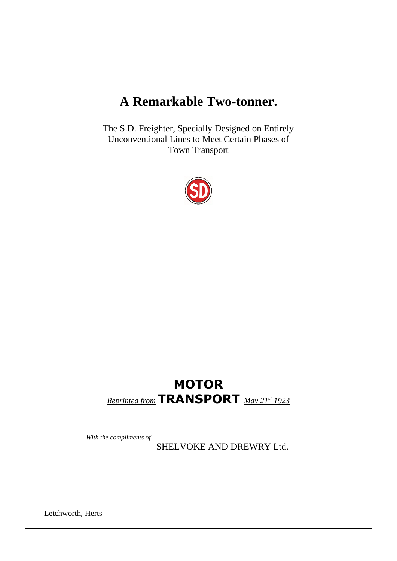# **A Remarkable Two-tonner.**

The S.D. Freighter, Specially Designed on Entirely Unconventional Lines to Meet Certain Phases of Town Transport



# **MOTOR** *Reprinted from* **TRANSPORT** *May 21st <sup>1923</sup>*

 *With the compliments of*

SHELVOKE AND DREWRY Ltd.

Letchworth, Herts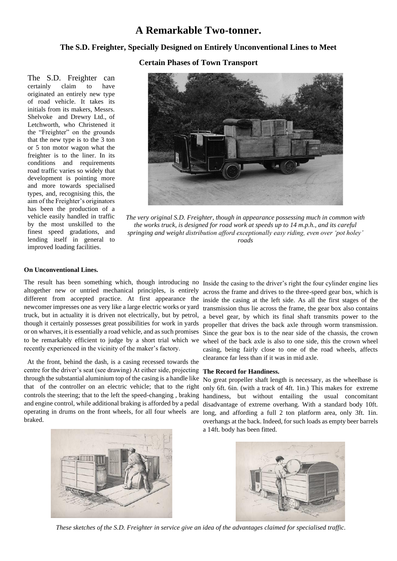## **A Remarkable Two-tonner.**

## **The S.D. Freighter, Specially Designed on Entirely Unconventional Lines to Meet**

**Certain Phases of Town Transport**

The S.D. Freighter can certainly claim to have originated an entirely new type of road vehicle. It takes its initials from its makers, Messrs. Shelvoke and Drewry Ltd., of Letchworth, who Christened it the "Freighter" on the grounds that the new type is to the 3 ton or 5 ton motor wagon what the freighter is to the liner. In its conditions and requirements road traffic varies so widely that development is pointing more and more towards specialised types, and, recognising this, the aim of the Freighter's originators has been the production of a vehicle easily handled in traffic by the most unskilled to the finest speed gradations, and lending itself in general to improved loading facilities.



*The very original S.D. Freighter, though in appearance possessing much in common with the works truck, is designed for road work at speeds up to 14 m.p.h., and its careful springing and weight distribution afford exceptionally easy riding, even over 'pot holey' roads*

### **On Unconventional Lines.**

The result has been something which, though introducing no Inside the casing to the driver's right the four cylinder engine lies altogether new or untried mechanical principles, is entirely different from accepted practice. At first appearance the newcomer impresses one as very like a large electric works or yard truck, but in actuality it is driven not electrically, but by petrol, though it certainly possesses great possibilities for work in yards to be remarkably efficient to judge by a short trial which we recently experienced in the vicinity of the maker's factory.

 At the front, behind the dash, is a casing recessed towards the centre for the driver's seat (see drawing) At either side, projecting **The Record for Handiness.** through the substantial aluminium top of the casing is a handle like that of the controller on an electric vehicle; that to the right controls the steering; that to the left the speed-changing , braking and engine control, while additional braking is afforded by a pedal operating in drums on the front wheels, for all four wheels are braked.

or on wharves, it is essentially a road vehicle, and as such promises Since the gear box is to the near side of the chassis, the crown across the frame and drives to the three-speed gear box, which is inside the casing at the left side. As all the first stages of the transmission thus lie across the frame, the gear box also contains a bevel gear, by which its final shaft transmits power to the propeller that drives the back axle through worm transmission. wheel of the back axle is also to one side, this the crown wheel casing, being fairly close to one of the road wheels, affects clearance far less than if it was in mid axle.

No great propeller shaft length is necessary, as the wheelbase is only 6ft. 6in. (with a track of 4ft. 1in.) This makes for extreme handiness, but without entailing the usual concomitant disadvantage of extreme overhang. With a standard body 10ft. long, and affording a full 2 ton platform area, only 3ft. 1in. overhangs at the back. Indeed, for such loads as empty beer barrels a 14ft. body has been fitted.





*These sketches of the S.D. Freighter in service give an idea of the advantages claimed for specialised traffic.*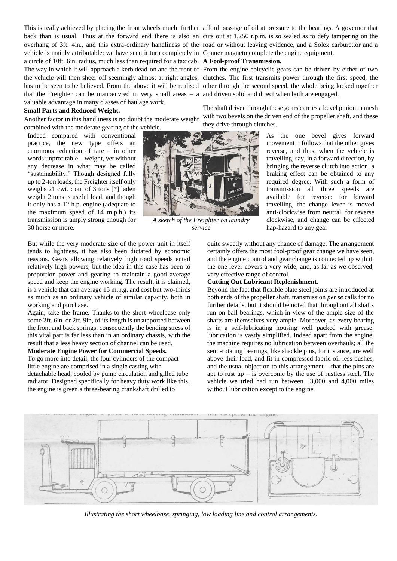back than is usual. Thus at the forward end there is also an cuts out at 1,250 r.p.m. is so sealed as to defy tampering on the overhang of 3ft. 4in., and this extra-ordinary handliness of the road or without leaving evidence, and a Solex carburettor and a vehicle is mainly attributable: we have seen it turn completely in Conner magneto complete the engine equipment. a circle of 10ft. 6in. radius, much less than required for a taxicab. **A Fool-proof Transmission.** The way in which it will approach a kerb dead-on and the front of From the engine epicyclic gears can be driven by either of two the vehicle will then sheer off seemingly almost at right angles, clutches. The first transmits power through the first speed, the has to be seen to be believed. From the above it will be realised other through the second speed, the whole being locked together that the Freighter can be manoeuvred in very small areas – a and driven solid and direct when both are engaged. valuable advantage in many classes of haulage work.

#### **Small Parts and Reduced Weight.**

Another factor in this handliness is no doubt the moderate weight combined with the moderate gearing of the vehicle.

Indeed compared with conventional practice, the new type offers an enormous reduction of tare – in other words unprofitable – weight, yet without any decrease in what may be called "sustainability." Though designed fully up to 2-ton loads, the Freighter itself only weighs 21 cwt. : out of 3 tons [\*] laden weight 2 tons is useful load, and though it only has a 12 h.p. engine (adequate to the maximum speed of 14 m.p.h.) its transmission is amply strong enough for 30 horse or more.

But while the very moderate size of the power unit in itself tends to lightness, it has also been dictated by economic reasons. Gears allowing relatively high road speeds entail relatively high powers, but the idea in this case has been to proportion power and gearing to maintain a good average speed and keep the engine working. The result, it is claimed, is a vehicle that can average 15 m.p.g. and cost but two-thirds as much as an ordinary vehicle of similar capacity, both in working and purchase.

Again, take the frame. Thanks to the short wheelbase only some 2ft. 6in. or 2ft. 9in, of its length is unsupported between the front and back springs; consequently the bending stress of this vital part is far less than in an ordinary chassis, with the result that a less heavy section of channel can be used.

#### **Moderate Engine Power for Commercial Speeds.**

To go more into detail, the four cylinders of the compact little engine are comprised in a single casting with detachable head, cooled by pump circulation and gilled tube radiator. Designed specifically for heavy duty work like this, the engine is given a three-bearing crankshaft drilled to

This is really achieved by placing the front wheels much further afford passage of oil at pressure to the bearings. A governor that

The shaft driven through these gears carries a bevel pinion in mesh with two bevels on the driven end of the propeller shaft, and these they drive through clutches.

> As the one bevel gives forward movement it follows that the other gives reverse, and thus, when the vehicle is travelling, say, in a forward direction, by bringing the reverse clutch into action, a braking effect can be obtained to any required degree. With such a form of transmission all three speeds are available for reverse: for forward travelling, the change lever is moved anti-clockwise from neutral, for reverse clockwise, and change can be effected hap-hazard to any gear

quite sweetly without any chance of damage. The arrangement certainly offers the most fool-proof gear change we have seen, and the engine control and gear change is connected up with it, the one lever covers a very wide, and, as far as we observed, very effective range of control.

### **Cutting Out Lubricant Replenishment.**

Beyond the fact that flexible plate steel joints are introduced at both ends of the propeller shaft, transmission *per se* calls for no further details, but it should be noted that throughout all shafts run on ball bearings, which in view of the ample size of the shafts are themselves very ample. Moreover, as every bearing is in a self-lubricating housing well packed with grease, lubrication is vastly simplified. Indeed apart from the engine, the machine requires no lubrication between overhauls; all the semi-rotating bearings, like shackle pins, for instance, are well above their load, and fit in compressed fabric oil-less bushes, and the usual objection to this arrangement – that the pins are apt to rust  $up - is$  overcome by the use of rustless steel. The vehicle we tried had run between 3,000 and 4,000 miles without lubrication except to the engine.



*Illustrating the short wheelbase, springing, low loading line and control arrangements.*



*service*